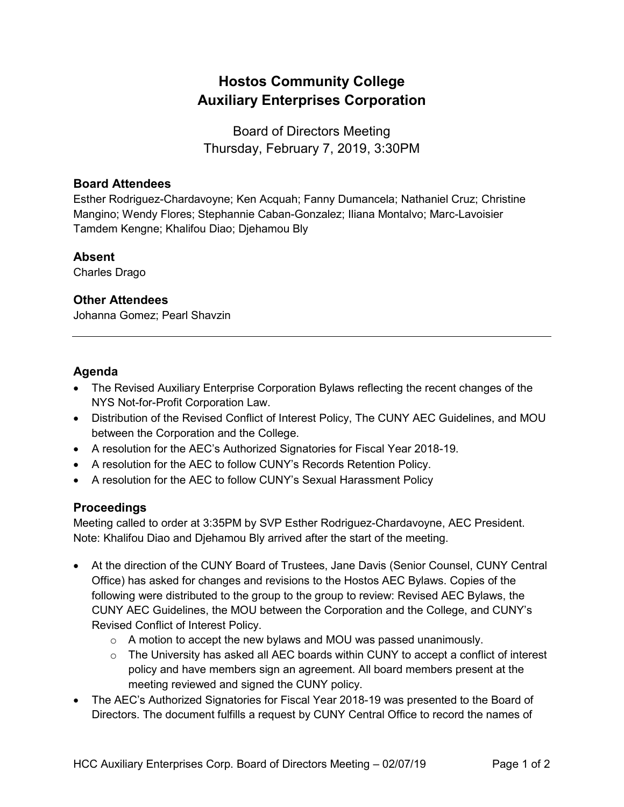# **Hostos Community College Auxiliary Enterprises Corporation**

Board of Directors Meeting Thursday, February 7, 2019, 3:30PM

#### **Board Attendees**

Esther Rodriguez-Chardavoyne; Ken Acquah; Fanny Dumancela; Nathaniel Cruz; Christine Mangino; Wendy Flores; Stephannie Caban-Gonzalez; Iliana Montalvo; Marc-Lavoisier Tamdem Kengne; Khalifou Diao; Djehamou Bly

#### **Absent**

Charles Drago

## **Other Attendees**

Johanna Gomez; Pearl Shavzin

## **Agenda**

- The Revised Auxiliary Enterprise Corporation Bylaws reflecting the recent changes of the NYS Not-for-Profit Corporation Law.
- Distribution of the Revised Conflict of Interest Policy, The CUNY AEC Guidelines, and MOU between the Corporation and the College.
- A resolution for the AEC's Authorized Signatories for Fiscal Year 2018-19.
- A resolution for the AEC to follow CUNY's Records Retention Policy.
- A resolution for the AEC to follow CUNY's Sexual Harassment Policy

## **Proceedings**

Meeting called to order at 3:35PM by SVP Esther Rodriguez-Chardavoyne, AEC President. Note: Khalifou Diao and Djehamou Bly arrived after the start of the meeting.

- At the direction of the CUNY Board of Trustees, Jane Davis (Senior Counsel, CUNY Central Office) has asked for changes and revisions to the Hostos AEC Bylaws. Copies of the following were distributed to the group to the group to review: Revised AEC Bylaws, the CUNY AEC Guidelines, the MOU between the Corporation and the College, and CUNY's Revised Conflict of Interest Policy.
	- o A motion to accept the new bylaws and MOU was passed unanimously.
	- $\circ$  The University has asked all AEC boards within CUNY to accept a conflict of interest policy and have members sign an agreement. All board members present at the meeting reviewed and signed the CUNY policy.
- The AEC's Authorized Signatories for Fiscal Year 2018-19 was presented to the Board of Directors. The document fulfills a request by CUNY Central Office to record the names of